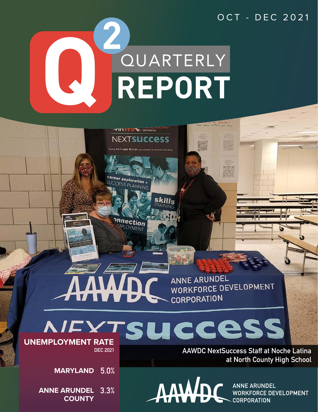

TTI WWW CORPORATION

**NEXTSUCCESS** ages 18 to 24 can connect to consension

> <sup>oration</sup> + ANNING

**nection** OYMENT

## **ANNE ARUNDEL** WORKFORCE DEVELOPMENT **CORPORATION**



**DEC 2021**

**5.0% MARYLAND**

**ANNE ARUNDEL 3.3% COUNTY**

**AAWDC NextSuccess Staff at Noche Latina at North County High School**



**ANNE ARUNDEL WORKFORCE DEVELOPMENT CORPORATION**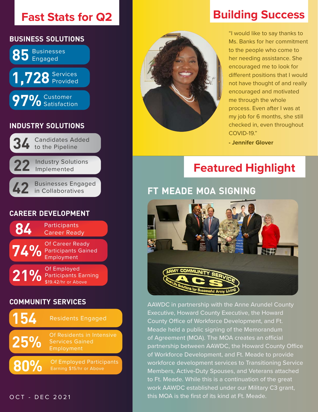## **Fast Stats for Q2**



#### **community services**



#### OCT - DEC 2021



## **Building Success**

"I would like to say thanks to Ms. Banks for her commitment to the people who come to her needing assistance. She encouraged me to look for different positions that I would not have thought of and really encouraged and motivated me through the whole process. Even after I was at my job for 6 months, she still checked in, even throughout COVID-19."

**- Jennifer Glover**

# **Featured Highlight**

### **ft meade moa signing**



AAWDC in partnership with the Anne Arundel County Executive, Howard County Executive, the Howard County Office of Workforce Development, and Ft. Meade held a public signing of the Memorandum of Agreement (MOA). The MOA creates an official partnership between AAWDC, the Howard County Office of Workforce Development, and Ft. Meade to provide workforce development services to Transitioning Service Members, Active-Duty Spouses, and Veterans attached to Ft. Meade. While this is a continuation of the great work AAWDC established under our Military C3 grant, this MOA is the first of its kind at Ft. Meade.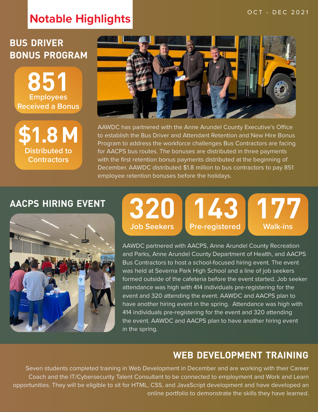# **Notable Highlights OCT - DEC 2021**

## **bus driver bonus program**

**851 Employees Received a Bonus**





AAWDC has partnered with the Anne Arundel County Executive's Office to establish the Bus Driver and Attendant Retention and New Hire Bonus Program to address the workforce challenges Bus Contractors are facing for AACPS bus routes. The bonuses are distributed in three payments with the first retention bonus payments distributed at the beginning of December. AAWDC distributed \$1.8 million to bus contractors to pay 851 employee retention bonuses before the holidays.

### **aacps hiring event**



#### **320 Job Seekers 143 Pre-registered 177 Walk-ins**

AAWDC partnered with AACPS, Anne Arundel County Recreation and Parks, Anne Arundel County Department of Health, and AACPS Bus Contractors to host a school-focused hiring event. The event was held at Severna Park High School and a line of job seekers formed outside of the cafeteria before the event started. Job seeker attendance was high with 414 individuals pre-registering for the event and 320 attending the event. AAWDC and AACPS plan to have another hiring event in the spring. Attendance was high with 414 individuals pre-registering for the event and 320 attending the event. AAWDC and AACPS plan to have another hiring event in the spring.

### **web development training**

Seven students completed training in Web Development in December and are working with their Career Coach and the IT/Cybersecurity Talent Consultant to be connected to employment and Work and Learn opportunities. They will be eligible to sit for HTML, CSS, and JavaScript development and have developed an online portfolio to demonstrate the skills they have learned.